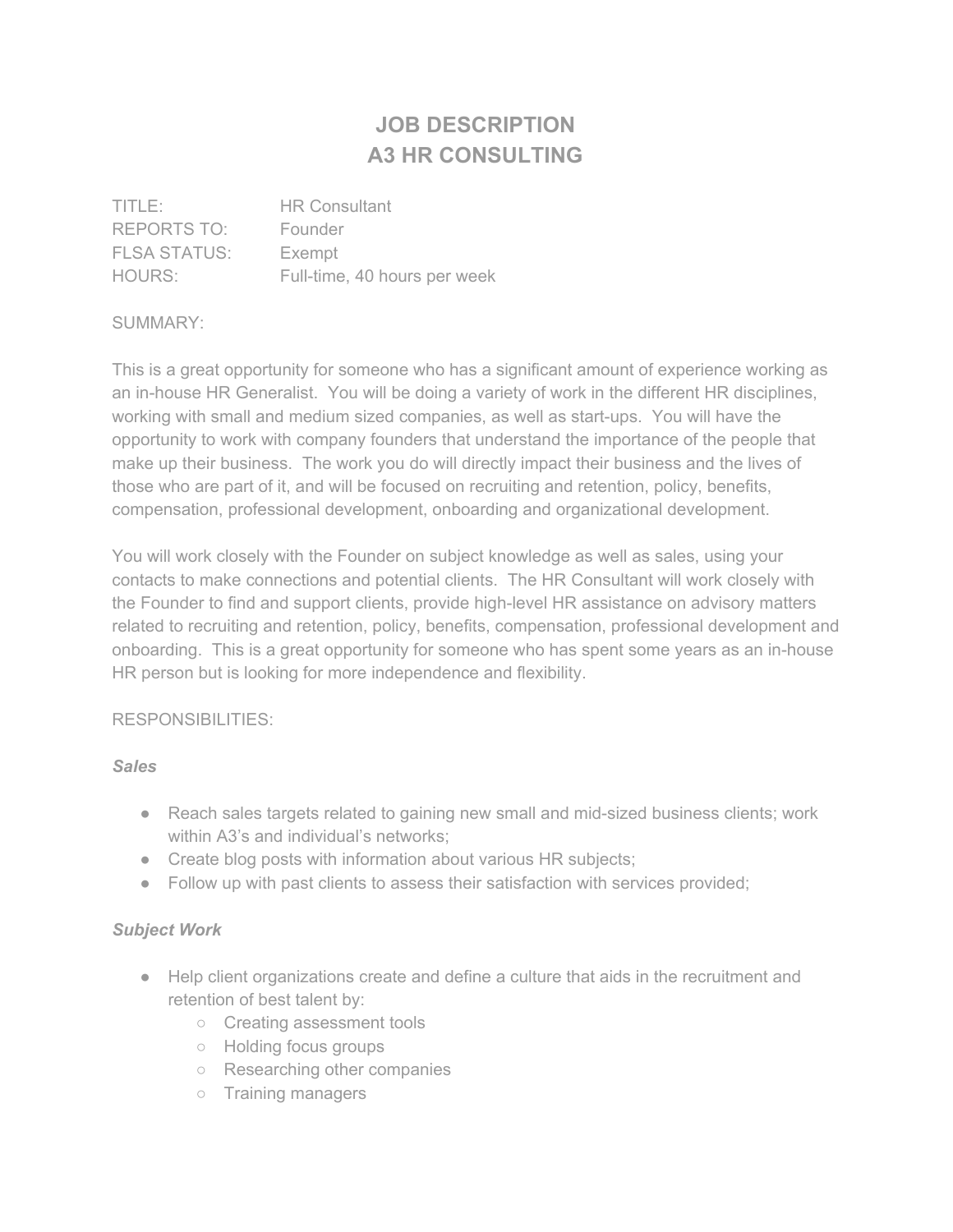# **JOB DESCRIPTION A3 HR CONSULTING**

| TITLE:              | <b>HR Consultant</b>         |
|---------------------|------------------------------|
| REPORTS TO:         | Founder                      |
| <b>FLSA STATUS:</b> | Exempt                       |
| HOURS:              | Full-time, 40 hours per week |

### SUMMARY:

This is a great opportunity for someone who has a significant amount of experience working as an in-house HR Generalist. You will be doing a variety of work in the different HR disciplines, working with small and medium sized companies, as well as start-ups. You will have the opportunity to work with company founders that understand the importance of the people that make up their business. The work you do will directly impact their business and the lives of those who are part of it, and will be focused on recruiting and retention, policy, benefits, compensation, professional development, onboarding and organizational development.

You will work closely with the Founder on subject knowledge as well as sales, using your contacts to make connections and potential clients. The HR Consultant will work closely with the Founder to find and support clients, provide high-level HR assistance on advisory matters related to recruiting and retention, policy, benefits, compensation, professional development and onboarding. This is a great opportunity for someone who has spent some years as an in-house HR person but is looking for more independence and flexibility.

## RESPONSIBILITIES:

#### *Sales*

- Reach sales targets related to gaining new small and mid-sized business clients; work within A3's and individual's networks;
- Create blog posts with information about various HR subjects;
- Follow up with past clients to assess their satisfaction with services provided;

## *Subject Work*

- Help client organizations create and define a culture that aids in the recruitment and retention of best talent by:
	- Creating assessment tools
	- Holding focus groups
	- Researching other companies
	- Training managers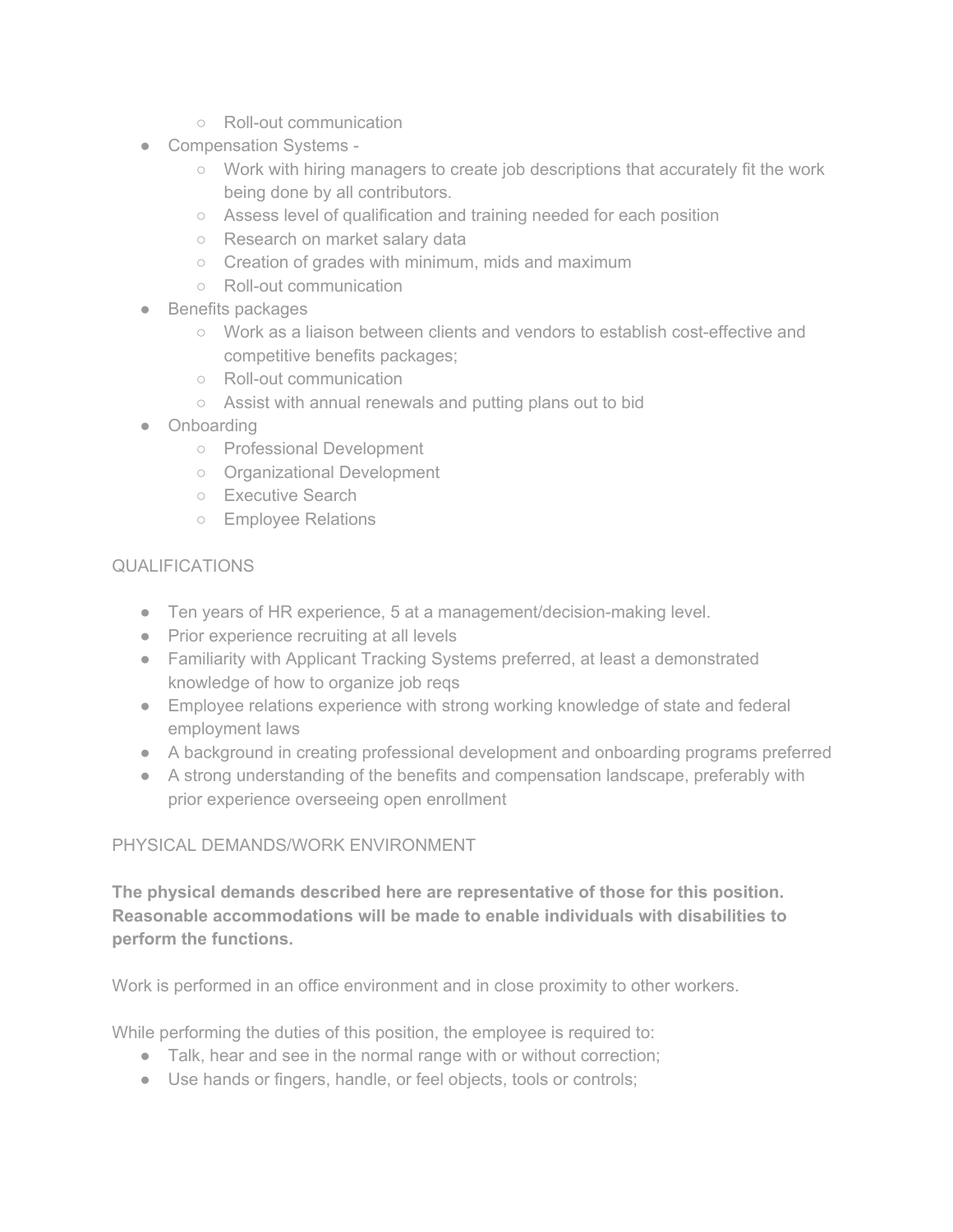- Roll-out communication
- Compensation Systems -
	- Work with hiring managers to create job descriptions that accurately fit the work being done by all contributors.
	- Assess level of qualification and training needed for each position
	- Research on market salary data
	- Creation of grades with minimum, mids and maximum
	- Roll-out communication
- Benefits packages
	- Work as a liaison between clients and vendors to establish cost-effective and competitive benefits packages;
	- Roll-out communication
	- Assist with annual renewals and putting plans out to bid
- Onboarding
	- Professional Development
	- Organizational Development
	- Executive Search
	- Employee Relations

# QUALIFICATIONS

- Ten years of HR experience, 5 at a management/decision-making level.
- Prior experience recruiting at all levels
- Familiarity with Applicant Tracking Systems preferred, at least a demonstrated knowledge of how to organize job reqs
- Employee relations experience with strong working knowledge of state and federal employment laws
- A background in creating professional development and onboarding programs preferred
- A strong understanding of the benefits and compensation landscape, preferably with prior experience overseeing open enrollment

# PHYSICAL DEMANDS/WORK ENVIRONMENT

**The physical demands described here are representative of those for this position. Reasonable accommodations will be made to enable individuals with disabilities to perform the functions.**

Work is performed in an office environment and in close proximity to other workers.

While performing the duties of this position, the employee is required to:

- Talk, hear and see in the normal range with or without correction;
- Use hands or fingers, handle, or feel objects, tools or controls;